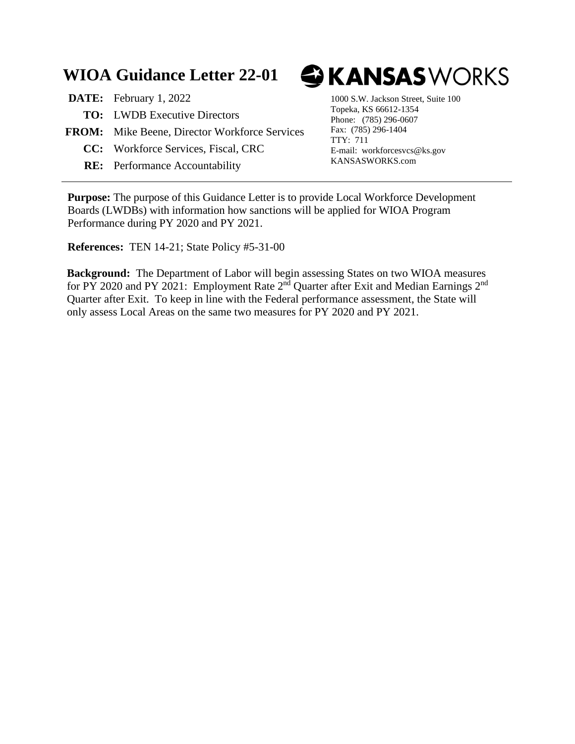## **WIOA Guidance Letter 22-01**

**DATE:** February 1, 2022 1000 S.W. Jackson Street, Suite 100 **TO:** LWDB Executive Directors **FROM:** Mike Beene, Director Workforce Services **CC:** Workforce Services, Fiscal, CRC

**RE:** Performance Accountability

## **GKANSAS**WORKS

Topeka, KS 66612-1354 Phone: (785) 296-0607 Fax: (785) 296-1404 TTY: 711 E-mail: workforcesvcs@ks.gov KANSASWORKS.com

**Purpose:** The purpose of this Guidance Letter is to provide Local Workforce Development Boards (LWDBs) with information how sanctions will be applied for WIOA Program Performance during PY 2020 and PY 2021.

**References:** TEN 14-21; State Policy #5-31-00

**Background:** The Department of Labor will begin assessing States on two WIOA measures for PY 2020 and PY 2021: Employment Rate  $2^{nd}$  Quarter after Exit and Median Earnings  $2^{nd}$ Quarter after Exit. To keep in line with the Federal performance assessment, the State will only assess Local Areas on the same two measures for PY 2020 and PY 2021.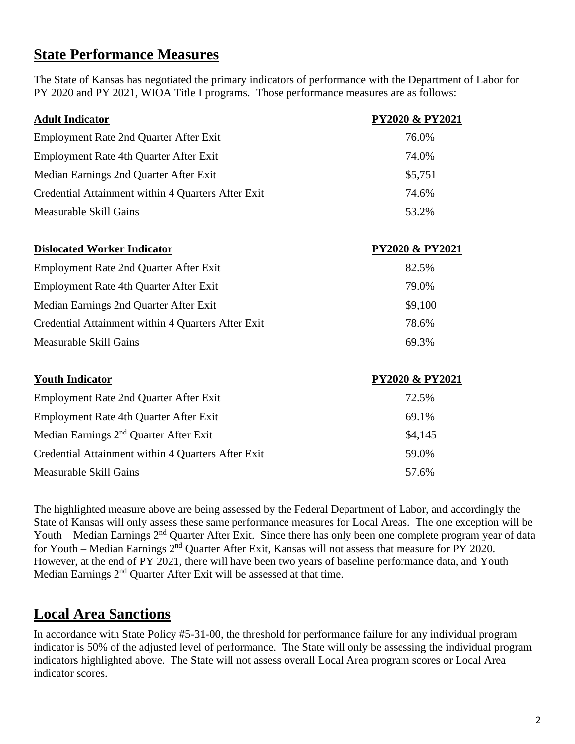## **State Performance Measures**

The State of Kansas has negotiated the primary indicators of performance with the Department of Labor for PY 2020 and PY 2021, WIOA Title I programs. Those performance measures are as follows:

| <b>Adult Indicator</b>                             | <b>PY2020 &amp; PY2021</b> |
|----------------------------------------------------|----------------------------|
| Employment Rate 2nd Quarter After Exit             | 76.0%                      |
| Employment Rate 4th Quarter After Exit             | 74.0%                      |
| Median Earnings 2nd Quarter After Exit             | \$5,751                    |
| Credential Attainment within 4 Quarters After Exit | 74.6%                      |
| <b>Measurable Skill Gains</b>                      | 53.2%                      |
| <b>Dislocated Worker Indicator</b>                 | <b>PY2020 &amp; PY2021</b> |
| Employment Rate 2nd Quarter After Exit             | 82.5%                      |
| Employment Rate 4th Quarter After Exit             | 79.0%                      |
| Median Earnings 2nd Quarter After Exit             | \$9,100                    |
| Credential Attainment within 4 Quarters After Exit | 78.6%                      |
| <b>Measurable Skill Gains</b>                      | 69.3%                      |
| <b>Youth Indicator</b>                             | <b>PY2020 &amp; PY2021</b> |
| <b>Employment Rate 2nd Quarter After Exit</b>      | 72.5%                      |
| Employment Rate 4th Quarter After Exit             | 69.1%                      |
| Median Earnings 2 <sup>nd</sup> Quarter After Exit | \$4,145                    |
| Credential Attainment within 4 Quarters After Exit | 59.0%                      |
| Measurable Skill Gains                             | 57.6%                      |

The highlighted measure above are being assessed by the Federal Department of Labor, and accordingly the State of Kansas will only assess these same performance measures for Local Areas. The one exception will be Youth – Median Earnings 2<sup>nd</sup> Quarter After Exit. Since there has only been one complete program year of data for Youth – Median Earnings 2<sup>nd</sup> Quarter After Exit, Kansas will not assess that measure for PY 2020. However, at the end of PY 2021, there will have been two years of baseline performance data, and Youth – Median Earnings 2<sup>nd</sup> Ouarter After Exit will be assessed at that time.

## **Local Area Sanctions**

In accordance with State Policy #5-31-00, the threshold for performance failure for any individual program indicator is 50% of the adjusted level of performance. The State will only be assessing the individual program indicators highlighted above. The State will not assess overall Local Area program scores or Local Area indicator scores.